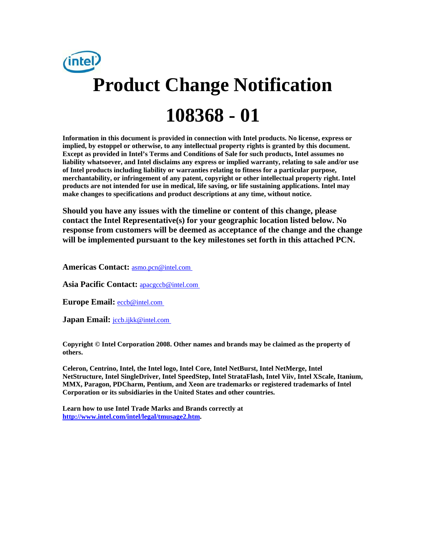

**Information in this document is provided in connection with Intel products. No license, express or implied, by estoppel or otherwise, to any intellectual property rights is granted by this document. Except as provided in Intel's Terms and Conditions of Sale for such products, Intel assumes no liability whatsoever, and Intel disclaims any express or implied warranty, relating to sale and/or use of Intel products including liability or warranties relating to fitness for a particular purpose, merchantability, or infringement of any patent, copyright or other intellectual property right. Intel products are not intended for use in medical, life saving, or life sustaining applications. Intel may make changes to specifications and product descriptions at any time, without notice.** 

**Should you have any issues with the timeline or content of this change, please contact the Intel Representative(s) for your geographic location listed below. No response from customers will be deemed as acceptance of the change and the change will be implemented pursuant to the key milestones set forth in this attached PCN.** 

**Americas Contact:** [asmo.pcn@intel.com](mailto:asmo.pcn@intel.com) 

**Asia Pacific Contact:** [apacgccb@intel.com](mailto:apacgccb@intel.com) 

Europe Email: **eccb@intel.com** 

**Japan Email:** *jccb.ijkk@intel.com* 

**Copyright © Intel Corporation 2008. Other names and brands may be claimed as the property of others.**

**Celeron, Centrino, Intel, the Intel logo, Intel Core, Intel NetBurst, Intel NetMerge, Intel NetStructure, Intel SingleDriver, Intel SpeedStep, Intel StrataFlash, Intel Viiv, Intel XScale, Itanium, MMX, Paragon, PDCharm, Pentium, and Xeon are trademarks or registered trademarks of Intel Corporation or its subsidiaries in the United States and other countries.** 

**Learn how to use Intel Trade Marks and Brands correctly at [http://www.intel.com/intel/legal/tmusage2.htm.](http://www.intel.com/intel/legal/tmusage2.htm)**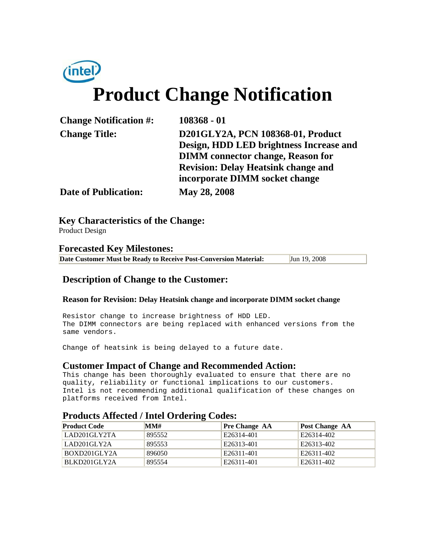# intel. **Product Change Notification**

| $108368 - 01$                              |
|--------------------------------------------|
| D201GLY2A, PCN 108368-01, Product          |
| Design, HDD LED brightness Increase and    |
| <b>DIMM</b> connector change, Reason for   |
| <b>Revision: Delay Heatsink change and</b> |
| incorporate DIMM socket change             |
| May 28, 2008                               |
|                                            |

**Key Characteristics of the Change:**

Product Design

#### **Forecasted Key Milestones: Date Customer Must be Ready to Receive Post-Conversion Material:** Jun 19, 2008

### **Description of Change to the Customer:**

#### **Reason for Revision: Delay Heatsink change and incorporate DIMM socket change**

Resistor change to increase brightness of HDD LED. The DIMM connectors are being replaced with enhanced versions from the same vendors.

Change of heatsink is being delayed to a future date.

#### **Customer Impact of Change and Recommended Action:**

This change has been thoroughly evaluated to ensure that there are no quality, reliability or functional implications to our customers. Intel is not recommending additional qualification of these changes on platforms received from Intel.

#### **Products Affected / Intel Ordering Codes:**

| <b>Product Code</b> | MM#    | <b>Pre Change AA</b> | Post Change AA |
|---------------------|--------|----------------------|----------------|
| 'LAD201GLY2TA       | 895552 | E26314-401           | E26314-402     |
| LAD201GLY2A         | 895553 | E26313-401           | E26313-402     |
| BOXD201GLY2A        | 896050 | E26311-401           | E26311-402     |
| BLKD201GLY2A        | 895554 | E26311-401           | E26311-402     |